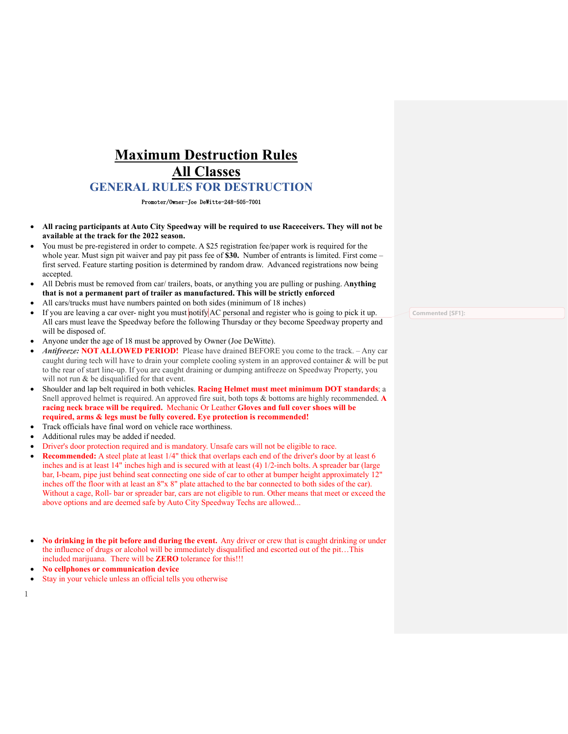# **Maximum Destruction Rules All Classes GENERAL RULES FOR DESTRUCTION**

Promoter/Owner-Joe DeWitte-248-505-7001

- **All racing participants at Auto City Speedway will be required to use Raceceivers. They will not be available at the track for the 2022 season.**
- You must be pre-registered in order to compete. A \$25 registration fee/paper work is required for the whole year. Must sign pit waiver and pay pit pass fee of **\$30.** Number of entrants is limited. First come – first served. Feature starting position is determined by random draw. Advanced registrations now being accepted.
- All Debris must be removed from car/ trailers, boats, or anything you are pulling or pushing. A**nything that is not a permanent part of trailer as manufactured. This will be strictly enforced**
- All cars/trucks must have numbers painted on both sides (minimum of 18 inches)
- If you are leaving a car over- night you must notify AC personal and register who is going to pick it up. All cars must leave the Speedway before the following Thursday or they become Speedway property and will be disposed of.
- Anyone under the age of 18 must be approved by Owner (Joe DeWitte).
- *Antifreeze:* **NOT ALLOWED PERIOD!** Please have drained BEFORE you come to the track. Any car caught during tech will have to drain your complete cooling system in an approved container & will be put to the rear of start line-up. If you are caught draining or dumping antifreeze on Speedway Property, you will not run & be disqualified for that event.
- Shoulder and lap belt required in both vehicles. **Racing Helmet must meet minimum DOT standards**; a Snell approved helmet is required. An approved fire suit, both tops & bottoms are highly recommended. **A racing neck brace will be required.** Mechanic Or Leather **Gloves and full cover shoes will be required, arms & legs must be fully covered. Eye protection is recommended!**
- Track officials have final word on vehicle race worthiness.
- Additional rules may be added if needed.
- Driver's door protection required and is mandatory. Unsafe cars will not be eligible to race.
- **Recommended:** A steel plate at least 1/4" thick that overlaps each end of the driver's door by at least 6 inches and is at least 14" inches high and is secured with at least (4) 1/2-inch bolts. A spreader bar (large bar, I-beam, pipe just behind seat connecting one side of car to other at bumper height approximately 12" inches off the floor with at least an 8"x 8" plate attached to the bar connected to both sides of the car). Without a cage, Roll- bar or spreader bar, cars are not eligible to run. Other means that meet or exceed the above options and are deemed safe by Auto City Speedway Techs are allowed...
- **No drinking in the pit before and during the event.** Any driver or crew that is caught drinking or under the influence of drugs or alcohol will be immediately disqualified and escorted out of the pit…This included marijuana. There will be **ZERO** tolerance for this!!!
- **No cellphones or communication device**
- Stay in your vehicle unless an official tells you otherwise

1

**Commented [SF1]:**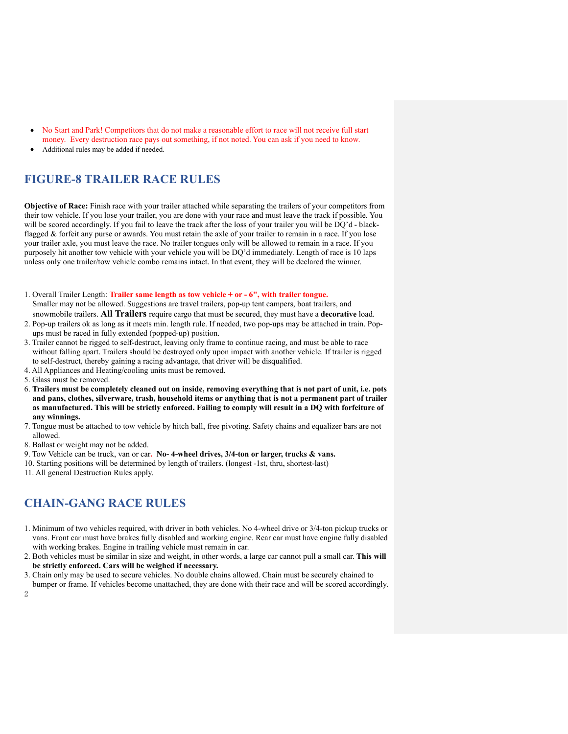- No Start and Park! Competitors that do not make a reasonable effort to race will not receive full start money. Every destruction race pays out something, if not noted. You can ask if you need to know.
- Additional rules may be added if needed.

# **FIGURE-8 TRAILER RACE RULES**

**Objective of Race:** Finish race with your trailer attached while separating the trailers of your competitors from their tow vehicle. If you lose your trailer, you are done with your race and must leave the track if possible. You will be scored accordingly. If you fail to leave the track after the loss of your trailer you will be DQ'd - blackflagged & forfeit any purse or awards. You must retain the axle of your trailer to remain in a race. If you lose your trailer axle, you must leave the race. No trailer tongues only will be allowed to remain in a race. If you purposely hit another tow vehicle with your vehicle you will be DQ'd immediately. Length of race is 10 laps unless only one trailer/tow vehicle combo remains intact. In that event, they will be declared the winner.

- 1. Overall Trailer Length: **Trailer same length as tow vehicle + or - 6", with trailer tongue.**  Smaller may not be allowed. Suggestions are travel trailers, pop-up tent campers, boat trailers, and snowmobile trailers. **All Trailers** require cargo that must be secured, they must have a **decorative** load.
- 2. Pop-up trailers ok as long as it meets min. length rule. If needed, two pop-ups may be attached in train. Popups must be raced in fully extended (popped-up) position.
- 3. Trailer cannot be rigged to self-destruct, leaving only frame to continue racing, and must be able to race without falling apart. Trailers should be destroyed only upon impact with another vehicle. If trailer is rigged to self-destruct, thereby gaining a racing advantage, that driver will be disqualified.
- 4. All Appliances and Heating/cooling units must be removed.
- 5. Glass must be removed.
- 6. **Trailers must be completely cleaned out on inside, removing everything that is not part of unit, i.e. pots and pans, clothes, silverware, trash, household items or anything that is not a permanent part of trailer as manufactured. This will be strictly enforced. Failing to comply will result in a DQ with forfeiture of any winnings.**
- 7. Tongue must be attached to tow vehicle by hitch ball, free pivoting. Safety chains and equalizer bars are not allowed.
- 8. Ballast or weight may not be added.
- 9. Tow Vehicle can be truck, van or car**. No- 4-wheel drives, 3/4-ton or larger, trucks & vans.**
- 10. Starting positions will be determined by length of trailers. (longest -1st, thru, shortest-last)
- 11. All general Destruction Rules apply.

# **CHAIN-GANG RACE RULES**

- 1. Minimum of two vehicles required, with driver in both vehicles. No 4-wheel drive or 3/4-ton pickup trucks or vans. Front car must have brakes fully disabled and working engine. Rear car must have engine fully disabled with working brakes. Engine in trailing vehicle must remain in car.
- 2. Both vehicles must be similar in size and weight, in other words, a large car cannot pull a small car. **This will be strictly enforced. Cars will be weighed if necessary.**
- 3. Chain only may be used to secure vehicles. No double chains allowed. Chain must be securely chained to
- 2 bumper or frame. If vehicles become unattached, they are done with their race and will be scored accordingly.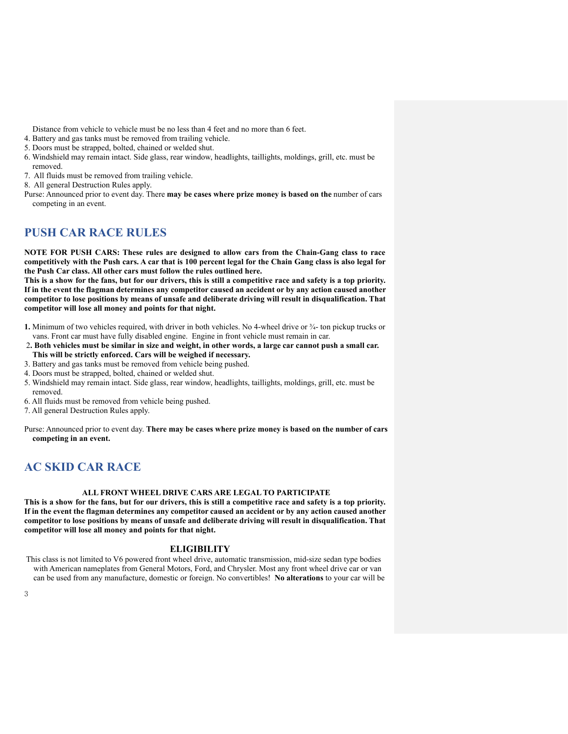Distance from vehicle to vehicle must be no less than 4 feet and no more than 6 feet.

- 4. Battery and gas tanks must be removed from trailing vehicle.
- 5. Doors must be strapped, bolted, chained or welded shut.
- 6. Windshield may remain intact. Side glass, rear window, headlights, taillights, moldings, grill, etc. must be removed.
- 7. All fluids must be removed from trailing vehicle.
- 8. All general Destruction Rules apply.
- Purse: Announced prior to event day. There **may be cases where prize money is based on the** number of cars competing in an event.

### **PUSH CAR RACE RULES**

**NOTE FOR PUSH CARS: These rules are designed to allow cars from the Chain-Gang class to race competitively with the Push cars. A car that is 100 percent legal for the Chain Gang class is also legal for the Push Car class. All other cars must follow the rules outlined here.**

**This is a show for the fans, but for our drivers, this is still a competitive race and safety is a top priority. If in the event the flagman determines any competitor caused an accident or by any action caused another competitor to lose positions by means of unsafe and deliberate driving will result in disqualification. That competitor will lose all money and points for that night.**

- **1.** Minimum of two vehicles required, with driver in both vehicles. No 4-wheel drive or ¾- ton pickup trucks or vans. Front car must have fully disabled engine. Engine in front vehicle must remain in car.
- 2**. Both vehicles must be similar in size and weight, in other words, a large car cannot push a small car. This will be strictly enforced. Cars will be weighed if necessary.**
- 3. Battery and gas tanks must be removed from vehicle being pushed.
- 4. Doors must be strapped, bolted, chained or welded shut.
- 5. Windshield may remain intact. Side glass, rear window, headlights, taillights, moldings, grill, etc. must be removed.
- 6. All fluids must be removed from vehicle being pushed.
- 7. All general Destruction Rules apply.

Purse: Announced prior to event day. **There may be cases where prize money is based on the number of cars competing in an event.**

## **AC SKID CAR RACE**

#### **ALL FRONT WHEEL DRIVE CARS ARE LEGAL TO PARTICIPATE**

**This is a show for the fans, but for our drivers, this is still a competitive race and safety is a top priority. If in the event the flagman determines any competitor caused an accident or by any action caused another competitor to lose positions by means of unsafe and deliberate driving will result in disqualification. That competitor will lose all money and points for that night.**

#### **ELIGIBILITY**

This class is not limited to V6 powered front wheel drive, automatic transmission, mid-size sedan type bodies with American nameplates from General Motors, Ford, and Chrysler. Most any front wheel drive car or van can be used from any manufacture, domestic or foreign. No convertibles! **No alterations** to your car will be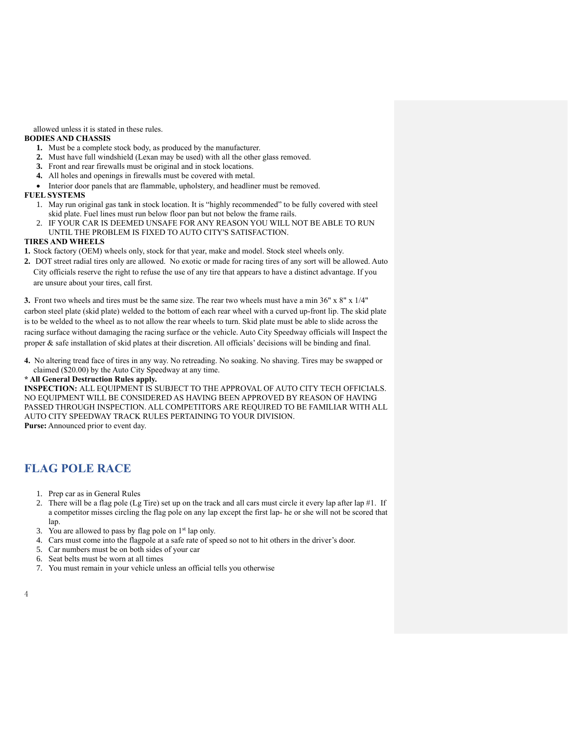allowed unless it is stated in these rules.

#### **BODIES AND CHASSIS**

- **1.** Must be a complete stock body, as produced by the manufacturer.
- **2.** Must have full windshield (Lexan may be used) with all the other glass removed.
- **3.** Front and rear firewalls must be original and in stock locations.
- **4.** All holes and openings in firewalls must be covered with metal.
- Interior door panels that are flammable, upholstery, and headliner must be removed.

#### **FUEL SYSTEMS**

- 1. May run original gas tank in stock location. It is "highly recommended" to be fully covered with steel skid plate. Fuel lines must run below floor pan but not below the frame rails.
- 2. IF YOUR CAR IS DEEMED UNSAFE FOR ANY REASON YOU WILL NOT BE ABLE TO RUN UNTIL THE PROBLEM IS FIXED TO AUTO CITY'S SATISFACTION.

#### **TIRES AND WHEELS**

- **1.** Stock factory (OEM) wheels only, stock for that year, make and model. Stock steel wheels only.
- **2.** DOT street radial tires only are allowed. No exotic or made for racing tires of any sort will be allowed. Auto City officials reserve the right to refuse the use of any tire that appears to have a distinct advantage. If you are unsure about your tires, call first.

**3.** Front two wheels and tires must be the same size. The rear two wheels must have a min 36" x 8" x 1/4" carbon steel plate (skid plate) welded to the bottom of each rear wheel with a curved up-front lip. The skid plate is to be welded to the wheel as to not allow the rear wheels to turn. Skid plate must be able to slide across the racing surface without damaging the racing surface or the vehicle. Auto City Speedway officials will Inspect the proper & safe installation of skid plates at their discretion. All officials' decisions will be binding and final.

**4.** No altering tread face of tires in any way. No retreading. No soaking. No shaving. Tires may be swapped or claimed (\$20.00) by the Auto City Speedway at any time.

#### **\* All General Destruction Rules apply.**

**INSPECTION:** ALL EQUIPMENT IS SUBJECT TO THE APPROVAL OF AUTO CITY TECH OFFICIALS. NO EQUIPMENT WILL BE CONSIDERED AS HAVING BEEN APPROVED BY REASON OF HAVING PASSED THROUGH INSPECTION. ALL COMPETITORS ARE REQUIRED TO BE FAMILIAR WITH ALL AUTO CITY SPEEDWAY TRACK RULES PERTAINING TO YOUR DIVISION. **Purse:** Announced prior to event day.

# **FLAG POLE RACE**

- 1. Prep car as in General Rules
- 2. There will be a flag pole (Lg Tire) set up on the track and all cars must circle it every lap after lap  $#1$ . If a competitor misses circling the flag pole on any lap except the first lap- he or she will not be scored that lap.
- 3. You are allowed to pass by flag pole on 1st lap only.
- 4. Cars must come into the flagpole at a safe rate of speed so not to hit others in the driver's door.
- 5. Car numbers must be on both sides of your car
- 6. Seat belts must be worn at all times
- 7. You must remain in your vehicle unless an official tells you otherwise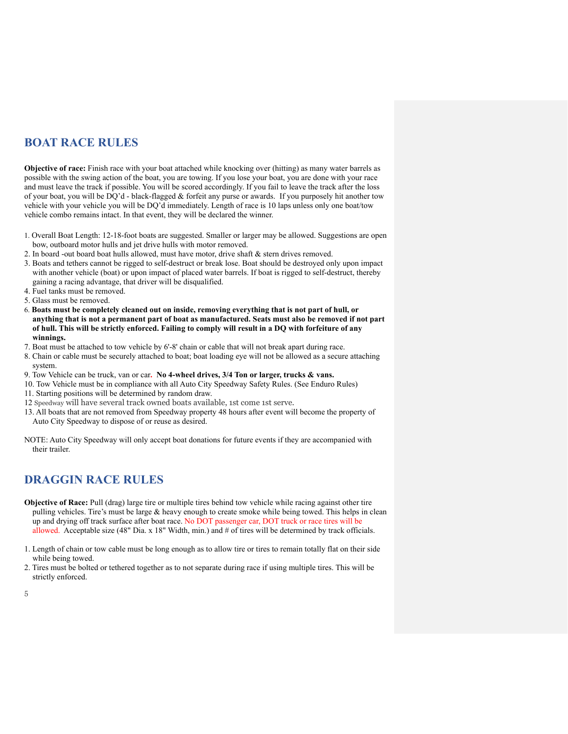## **BOAT RACE RULES**

**Objective of race:** Finish race with your boat attached while knocking over (hitting) as many water barrels as possible with the swing action of the boat, you are towing. If you lose your boat, you are done with your race and must leave the track if possible. You will be scored accordingly. If you fail to leave the track after the loss of your boat, you will be DQ'd - black-flagged & forfeit any purse or awards. If you purposely hit another tow vehicle with your vehicle you will be DQ'd immediately. Length of race is 10 laps unless only one boat/tow vehicle combo remains intact. In that event, they will be declared the winner.

- 1. Overall Boat Length: 12-18-foot boats are suggested. Smaller or larger may be allowed. Suggestions are open bow, outboard motor hulls and jet drive hulls with motor removed.
- 2. In board -out board boat hulls allowed, must have motor, drive shaft & stern drives removed.
- 3. Boats and tethers cannot be rigged to self-destruct or break lose. Boat should be destroyed only upon impact with another vehicle (boat) or upon impact of placed water barrels. If boat is rigged to self-destruct, thereby gaining a racing advantage, that driver will be disqualified.
- 4. Fuel tanks must be removed.
- 5. Glass must be removed.
- 6. **Boats must be completely cleaned out on inside, removing everything that is not part of hull, or anything that is not a permanent part of boat as manufactured. Seats must also be removed if not part of hull. This will be strictly enforced. Failing to comply will result in a DQ with forfeiture of any winnings.**
- 7. Boat must be attached to tow vehicle by 6'-8' chain or cable that will not break apart during race.
- 8. Chain or cable must be securely attached to boat; boat loading eye will not be allowed as a secure attaching system.
- 9. Tow Vehicle can be truck, van or car**. No 4-wheel drives, 3/4 Ton or larger, trucks & vans.**
- 10. Tow Vehicle must be in compliance with all Auto City Speedway Safety Rules. (See Enduro Rules)
- 11. Starting positions will be determined by random draw.
- 12 Speedway will have several track owned boats available, 1st come 1st serve.
- 13. All boats that are not removed from Speedway property 48 hours after event will become the property of Auto City Speedway to dispose of or reuse as desired.

NOTE: Auto City Speedway will only accept boat donations for future events if they are accompanied with their trailer.

## **DRAGGIN RACE RULES**

- **Objective of Race:** Pull (drag) large tire or multiple tires behind tow vehicle while racing against other tire pulling vehicles. Tire's must be large & heavy enough to create smoke while being towed. This helps in clean up and drying off track surface after boat race. No DOT passenger car, DOT truck or race tires will be allowed. Acceptable size (48" Dia. x 18" Width, min.) and # of tires will be determined by track officials.
- 1. Length of chain or tow cable must be long enough as to allow tire or tires to remain totally flat on their side while being towed.
- 2. Tires must be bolted or tethered together as to not separate during race if using multiple tires. This will be strictly enforced.

5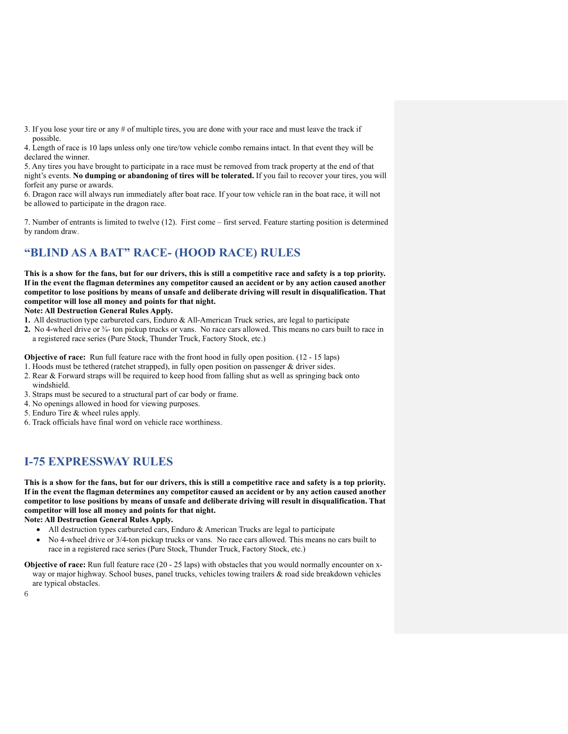3. If you lose your tire or any # of multiple tires, you are done with your race and must leave the track if possible.

4. Length of race is 10 laps unless only one tire/tow vehicle combo remains intact. In that event they will be declared the winner.

5. Any tires you have brought to participate in a race must be removed from track property at the end of that night's events. **No dumping or abandoning of tires will be tolerated.** If you fail to recover your tires, you will forfeit any purse or awards.

6. Dragon race will always run immediately after boat race. If your tow vehicle ran in the boat race, it will not be allowed to participate in the dragon race.

7. Number of entrants is limited to twelve (12). First come – first served. Feature starting position is determined by random draw.

# **"BLIND AS A BAT" RACE- (HOOD RACE) RULES**

**This is a show for the fans, but for our drivers, this is still a competitive race and safety is a top priority. If in the event the flagman determines any competitor caused an accident or by any action caused another competitor to lose positions by means of unsafe and deliberate driving will result in disqualification. That competitor will lose all money and points for that night.**

#### **Note: All Destruction General Rules Apply.**

- **1.** All destruction type carbureted cars, Enduro & All-American Truck series, are legal to participate
- **2.** No 4-wheel drive or ¾- ton pickup trucks or vans. No race cars allowed. This means no cars built to race in a registered race series (Pure Stock, Thunder Truck, Factory Stock, etc.)

**Objective of race:** Run full feature race with the front hood in fully open position. (12 - 15 laps)

- 1. Hoods must be tethered (ratchet strapped), in fully open position on passenger & driver sides.
- 2. Rear & Forward straps will be required to keep hood from falling shut as well as springing back onto windshield.
- 3. Straps must be secured to a structural part of car body or frame.
- 4. No openings allowed in hood for viewing purposes.
- 5. Enduro Tire & wheel rules apply.
- 6. Track officials have final word on vehicle race worthiness.

# **I-75 EXPRESSWAY RULES**

**This is a show for the fans, but for our drivers, this is still a competitive race and safety is a top priority. If in the event the flagman determines any competitor caused an accident or by any action caused another competitor to lose positions by means of unsafe and deliberate driving will result in disqualification. That competitor will lose all money and points for that night.**

**Note: All Destruction General Rules Apply.**

- All destruction types carbureted cars, Enduro & American Trucks are legal to participate
- No 4-wheel drive or 3/4-ton pickup trucks or vans. No race cars allowed. This means no cars built to race in a registered race series (Pure Stock, Thunder Truck, Factory Stock, etc.)

**Objective of race:** Run full feature race (20 - 25 laps) with obstacles that you would normally encounter on xway or major highway. School buses, panel trucks, vehicles towing trailers & road side breakdown vehicles are typical obstacles.

6